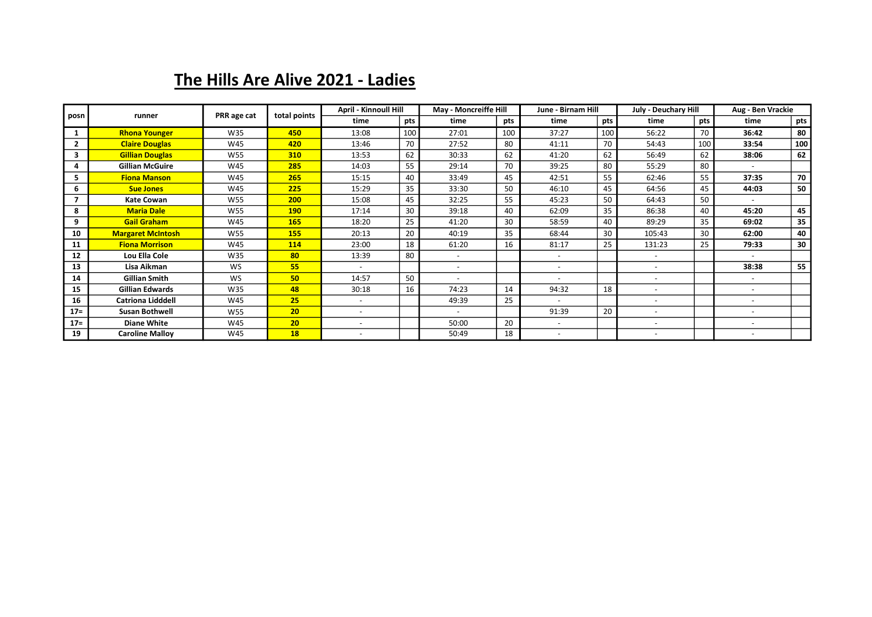## The Hills Are Alive 2021 - Ladies

| posn           | runner                   | PRR age cat | total points    | <b>April - Kinnoull Hill</b> |     | May - Moncreiffe Hill    |     | June - Birnam Hill       |     | <b>July - Deuchary Hill</b> |     | Aug - Ben Vrackie |     |
|----------------|--------------------------|-------------|-----------------|------------------------------|-----|--------------------------|-----|--------------------------|-----|-----------------------------|-----|-------------------|-----|
|                |                          |             |                 | time                         | pts | time                     | pts | time                     | pts | time                        | pts | time              | pts |
|                | <b>Rhona Younger</b>     | W35         | 450             | 13:08                        | 100 | 27:01                    | 100 | 37:27                    | 100 | 56:22                       | 70  | 36:42             | 80  |
| $\overline{2}$ | <b>Claire Douglas</b>    | W45         | 420             | 13:46                        | 70  | 27:52                    | 80  | 41:11                    | 70  | 54:43                       | 100 | 33:54             | 100 |
| 3              | <b>Gillian Douglas</b>   | <b>W55</b>  | 310             | 13:53                        | 62  | 30:33                    | 62  | 41:20                    | 62  | 56:49                       | 62  | 38:06             | 62  |
| 4              | <b>Gillian McGuire</b>   | W45         | 285             | 14:03                        | 55  | 29:14                    | 70  | 39:25                    | 80  | 55:29                       | 80  |                   |     |
| 5.             | <b>Fiona Manson</b>      | W45         | 265             | 15:15                        | 40  | 33:49                    | 45  | 42:51                    | 55  | 62:46                       | 55  | 37:35             | 70  |
| 6              | <b>Sue Jones</b>         | W45         | 225             | 15:29                        | 35  | 33:30                    | 50  | 46:10                    | 45  | 64:56                       | 45  | 44:03             | 50  |
| $\overline{ }$ | <b>Kate Cowan</b>        | <b>W55</b>  | 200             | 15:08                        | 45  | 32:25                    | 55  | 45:23                    | 50  | 64:43                       | 50  |                   |     |
| 8              | <b>Maria Dale</b>        | W55         | <b>190</b>      | 17:14                        | 30  | 39:18                    | 40  | 62:09                    | 35  | 86:38                       | 40  | 45:20             | 45  |
| 9              | <b>Gail Graham</b>       | W45         | <b>165</b>      | 18:20                        | 25  | 41:20                    | 30  | 58:59                    | 40  | 89:29                       | 35  | 69:02             | 35  |
| 10             | <b>Margaret McIntosh</b> | <b>W55</b>  | <b>155</b>      | 20:13                        | 20  | 40:19                    | 35  | 68:44                    | 30  | 105:43                      | 30  | 62:00             | 40  |
| 11             | <b>Fiona Morrison</b>    | W45         | 114             | 23:00                        | 18  | 61:20                    | 16  | 81:17                    | 25  | 131:23                      | 25  | 79:33             | 30  |
| 12             | Lou Ella Cole            | W35         | 80              | 13:39                        | 80  |                          |     |                          |     |                             |     |                   |     |
| 13             | Lisa Aikman              | <b>WS</b>   | 55              |                              |     |                          |     |                          |     |                             |     | 38:38             | 55  |
| 14             | <b>Gillian Smith</b>     | <b>WS</b>   | 50              | 14:57                        | 50  |                          |     |                          |     | $\overline{\phantom{a}}$    |     |                   |     |
| 15             | Gillian Edwards          | W35         | 48              | 30:18                        | 16  | 74:23                    | 14  | 94:32                    | 18  | $\overline{\phantom{a}}$    |     |                   |     |
| 16             | <b>Catriona Lidddell</b> | W45         | 25              | $\overline{\phantom{a}}$     |     | 49:39                    | 25  | $\overline{\phantom{a}}$ |     | $\overline{\phantom{a}}$    |     |                   |     |
| $17 =$         | <b>Susan Bothwell</b>    | <b>W55</b>  | 20 <sub>2</sub> | $\overline{\phantom{a}}$     |     | $\overline{\phantom{a}}$ |     | 91:39                    | 20  | $\overline{\phantom{a}}$    |     |                   |     |
| $17 =$         | <b>Diane White</b>       | W45         | 20              |                              |     | 50:00                    | 20  |                          |     |                             |     |                   |     |
| 19             | <b>Caroline Malloy</b>   | W45         | 18              |                              |     | 50:49                    | 18  |                          |     |                             |     |                   |     |